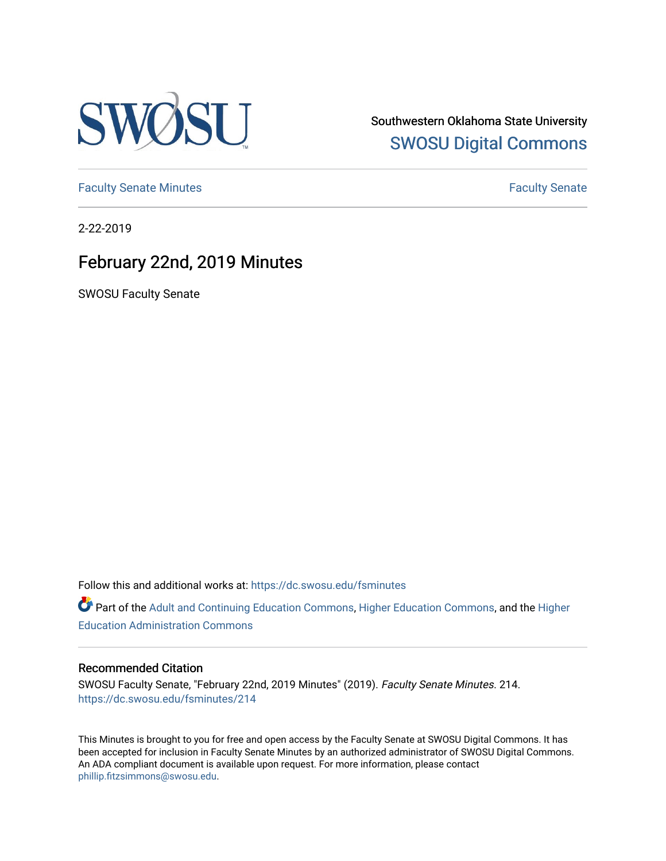

Southwestern Oklahoma State University [SWOSU Digital Commons](https://dc.swosu.edu/) 

[Faculty Senate Minutes](https://dc.swosu.edu/fsminutes) **Faculty** Senate Minutes

2-22-2019

## February 22nd, 2019 Minutes

SWOSU Faculty Senate

Follow this and additional works at: [https://dc.swosu.edu/fsminutes](https://dc.swosu.edu/fsminutes?utm_source=dc.swosu.edu%2Ffsminutes%2F214&utm_medium=PDF&utm_campaign=PDFCoverPages) 

Part of the [Adult and Continuing Education Commons,](http://network.bepress.com/hgg/discipline/1375?utm_source=dc.swosu.edu%2Ffsminutes%2F214&utm_medium=PDF&utm_campaign=PDFCoverPages) [Higher Education Commons,](http://network.bepress.com/hgg/discipline/1245?utm_source=dc.swosu.edu%2Ffsminutes%2F214&utm_medium=PDF&utm_campaign=PDFCoverPages) and the [Higher](http://network.bepress.com/hgg/discipline/791?utm_source=dc.swosu.edu%2Ffsminutes%2F214&utm_medium=PDF&utm_campaign=PDFCoverPages) [Education Administration Commons](http://network.bepress.com/hgg/discipline/791?utm_source=dc.swosu.edu%2Ffsminutes%2F214&utm_medium=PDF&utm_campaign=PDFCoverPages) 

#### Recommended Citation

SWOSU Faculty Senate, "February 22nd, 2019 Minutes" (2019). Faculty Senate Minutes. 214. [https://dc.swosu.edu/fsminutes/214](https://dc.swosu.edu/fsminutes/214?utm_source=dc.swosu.edu%2Ffsminutes%2F214&utm_medium=PDF&utm_campaign=PDFCoverPages) 

This Minutes is brought to you for free and open access by the Faculty Senate at SWOSU Digital Commons. It has been accepted for inclusion in Faculty Senate Minutes by an authorized administrator of SWOSU Digital Commons. An ADA compliant document is available upon request. For more information, please contact [phillip.fitzsimmons@swosu.edu](mailto:phillip.fitzsimmons@swosu.edu).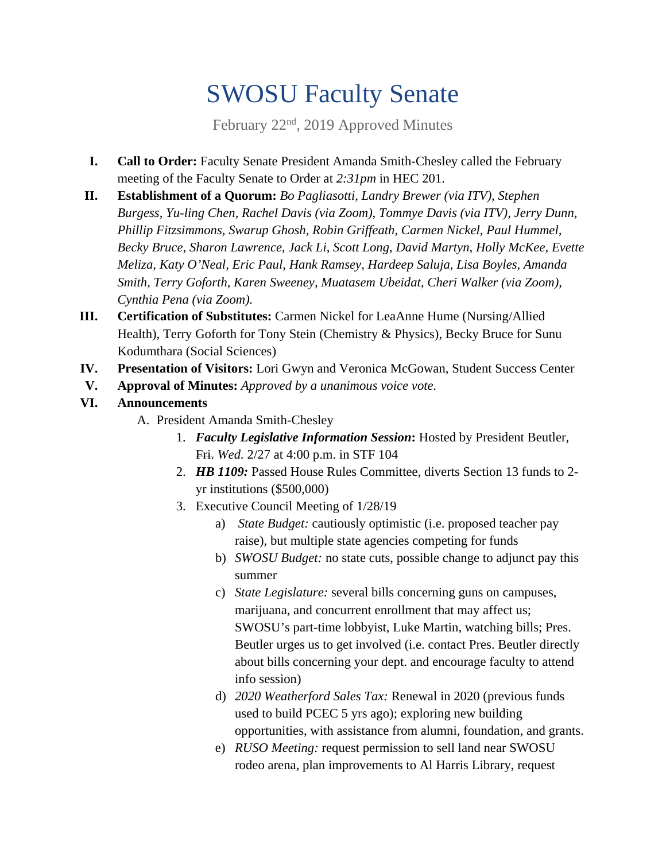# SWOSU Faculty Senate

February 22<sup>nd</sup>, 2019 Approved Minutes

- **I. Call to Order:** Faculty Senate President Amanda Smith-Chesley called the February meeting of the Faculty Senate to Order at *2:31pm* in HEC 201.
- **II. Establishment of a Quorum:** *Bo Pagliasotti, Landry Brewer (via ITV), Stephen Burgess, Yu-ling Chen, Rachel Davis (via Zoom), Tommye Davis (via ITV), Jerry Dunn, Phillip Fitzsimmons, Swarup Ghosh, Robin Griffeath, Carmen Nickel, Paul Hummel, Becky Bruce, Sharon Lawrence, Jack Li, Scott Long, David Martyn, Holly McKee, Evette Meliza, Katy O'Neal, Eric Paul, Hank Ramsey, Hardeep Saluja, Lisa Boyles, Amanda Smith, Terry Goforth, Karen Sweeney, Muatasem Ubeidat, Cheri Walker (via Zoom), Cynthia Pena (via Zoom).*
- **III. Certification of Substitutes:** Carmen Nickel for LeaAnne Hume (Nursing/Allied Health), Terry Goforth for Tony Stein (Chemistry & Physics), Becky Bruce for Sunu Kodumthara (Social Sciences)
- **IV. Presentation of Visitors:** Lori Gwyn and Veronica McGowan, Student Success Center
- **V. Approval of Minutes:** *Approved by a unanimous voice vote.*
- **VI. Announcements** 
	- A. President Amanda Smith-Chesley
		- 1. *Faculty Legislative Information Session***:** Hosted by President Beutler, Fri. *Wed.* 2/27 at 4:00 p.m. in STF 104
		- 2. *HB 1109:* Passed House Rules Committee, diverts Section 13 funds to 2 yr institutions (\$500,000)
		- 3. Executive Council Meeting of 1/28/19
			- a) *State Budget:* cautiously optimistic (i.e. proposed teacher pay raise), but multiple state agencies competing for funds
			- b) *SWOSU Budget:* no state cuts, possible change to adjunct pay this summer
			- c) *State Legislature:* several bills concerning guns on campuses, marijuana, and concurrent enrollment that may affect us; SWOSU's part-time lobbyist, Luke Martin, watching bills; Pres. Beutler urges us to get involved (i.e. contact Pres. Beutler directly about bills concerning your dept. and encourage faculty to attend info session)
			- d) *2020 Weatherford Sales Tax:* Renewal in 2020 (previous funds used to build PCEC 5 yrs ago); exploring new building opportunities, with assistance from alumni, foundation, and grants.
			- e) *RUSO Meeting:* request permission to sell land near SWOSU rodeo arena, plan improvements to Al Harris Library, request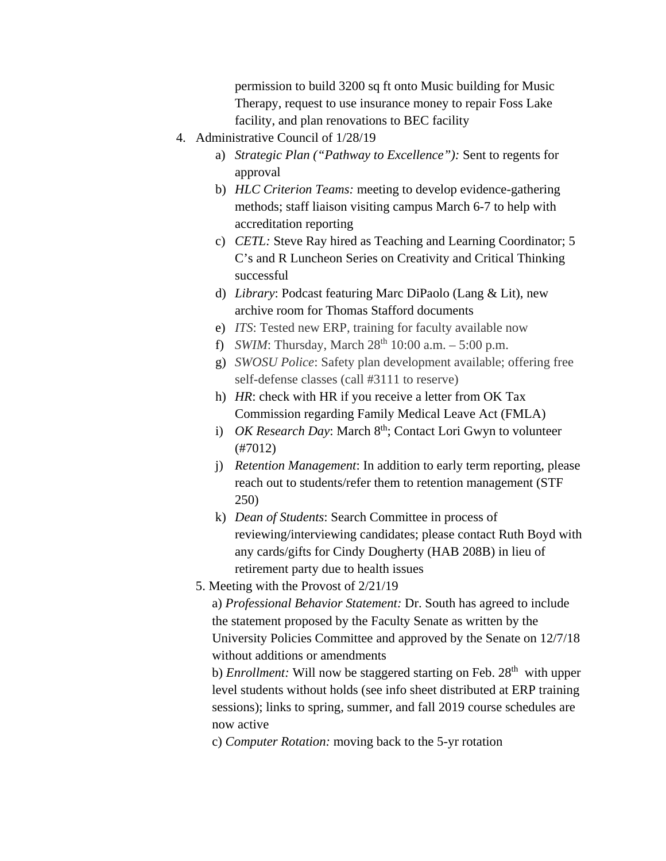permission to build 3200 sq ft onto Music building for Music Therapy, request to use insurance money to repair Foss Lake facility, and plan renovations to BEC facility

- 4. Administrative Council of 1/28/19
	- a) *Strategic Plan ("Pathway to Excellence"):* Sent to regents for approval
	- b) *HLC Criterion Teams:* meeting to develop evidence-gathering methods; staff liaison visiting campus March 6-7 to help with accreditation reporting
	- c) *CETL:* Steve Ray hired as Teaching and Learning Coordinator; 5 C's and R Luncheon Series on Creativity and Critical Thinking successful
	- d) *Library*: Podcast featuring Marc DiPaolo (Lang & Lit), new archive room for Thomas Stafford documents
	- e) *ITS*: Tested new ERP, training for faculty available now
	- f) *SWIM*: Thursday, March  $28^{th}$  10:00 a.m.  $5:00$  p.m.
	- g) *SWOSU Police*: Safety plan development available; offering free self-defense classes (call #3111 to reserve)
	- h) *HR*: check with HR if you receive a letter from OK Tax Commission regarding Family Medical Leave Act (FMLA)
	- i) *OK Research Day*: March 8<sup>th</sup>; Contact Lori Gwyn to volunteer (#7012)
	- j) *Retention Management*: In addition to early term reporting, please reach out to students/refer them to retention management (STF 250)
	- k) *Dean of Students*: Search Committee in process of reviewing/interviewing candidates; please contact Ruth Boyd with any cards/gifts for Cindy Dougherty (HAB 208B) in lieu of retirement party due to health issues
	- 5. Meeting with the Provost of 2/21/19

a) *Professional Behavior Statement:* Dr. South has agreed to include the statement proposed by the Faculty Senate as written by the University Policies Committee and approved by the Senate on 12/7/18 without additions or amendments

b) *Enrollment:* Will now be staggered starting on Feb. 28<sup>th</sup> with upper level students without holds (see info sheet distributed at ERP training sessions); links to spring, summer, and fall 2019 course schedules are now active

c) *Computer Rotation:* moving back to the 5-yr rotation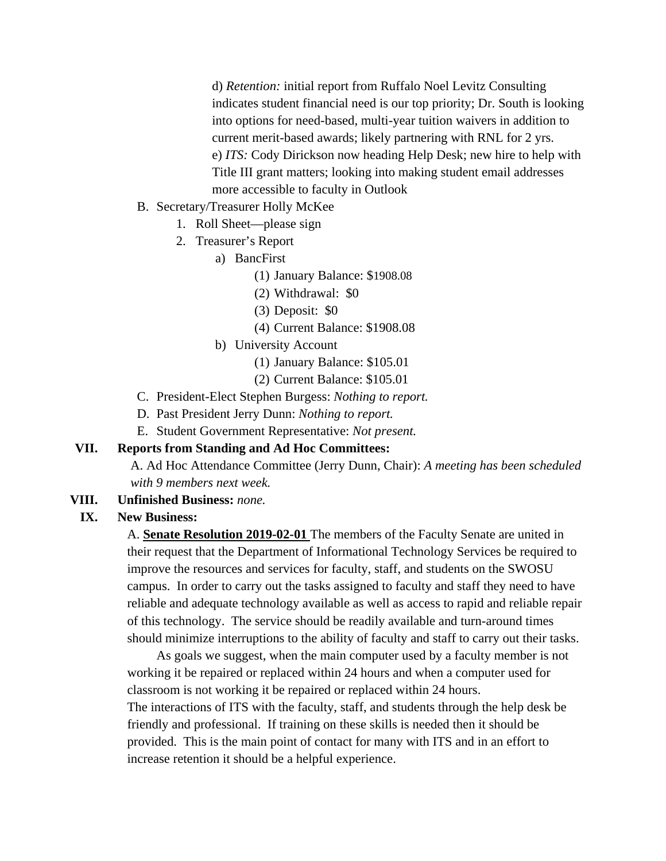d) *Retention:* initial report from Ruffalo Noel Levitz Consulting indicates student financial need is our top priority; Dr. South is looking into options for need-based, multi-year tuition waivers in addition to current merit-based awards; likely partnering with RNL for 2 yrs. e) *ITS:* Cody Dirickson now heading Help Desk; new hire to help with Title III grant matters; looking into making student email addresses more accessible to faculty in Outlook

#### B. Secretary/Treasurer Holly McKee

- 1. Roll Sheet—please sign
- 2. Treasurer's Report
	- a) BancFirst
		- (1) January Balance: \$1908.08
		- (2) Withdrawal: \$0
		- (3) Deposit: \$0
		- (4) Current Balance: \$1908.08
	- b) University Account
		- (1) January Balance: \$105.01
		- (2) Current Balance: \$105.01
- C. President-Elect Stephen Burgess: *Nothing to report.*
- D. Past President Jerry Dunn: *Nothing to report.*
- E. Student Government Representative: *Not present.*

#### **VII. Reports from Standing and Ad Hoc Committees:**

A. Ad Hoc Attendance Committee (Jerry Dunn, Chair): *A meeting has been scheduled with 9 members next week.* 

**VIII. Unfinished Business:** *none.*

#### **IX. New Business:**

A. **Senate Resolution 2019-02-01** The members of the Faculty Senate are united in their request that the Department of Informational Technology Services be required to improve the resources and services for faculty, staff, and students on the SWOSU campus. In order to carry out the tasks assigned to faculty and staff they need to have reliable and adequate technology available as well as access to rapid and reliable repair of this technology. The service should be readily available and turn-around times should minimize interruptions to the ability of faculty and staff to carry out their tasks.

As goals we suggest, when the main computer used by a faculty member is not working it be repaired or replaced within 24 hours and when a computer used for classroom is not working it be repaired or replaced within 24 hours. The interactions of ITS with the faculty, staff, and students through the help desk be friendly and professional. If training on these skills is needed then it should be provided. This is the main point of contact for many with ITS and in an effort to increase retention it should be a helpful experience.